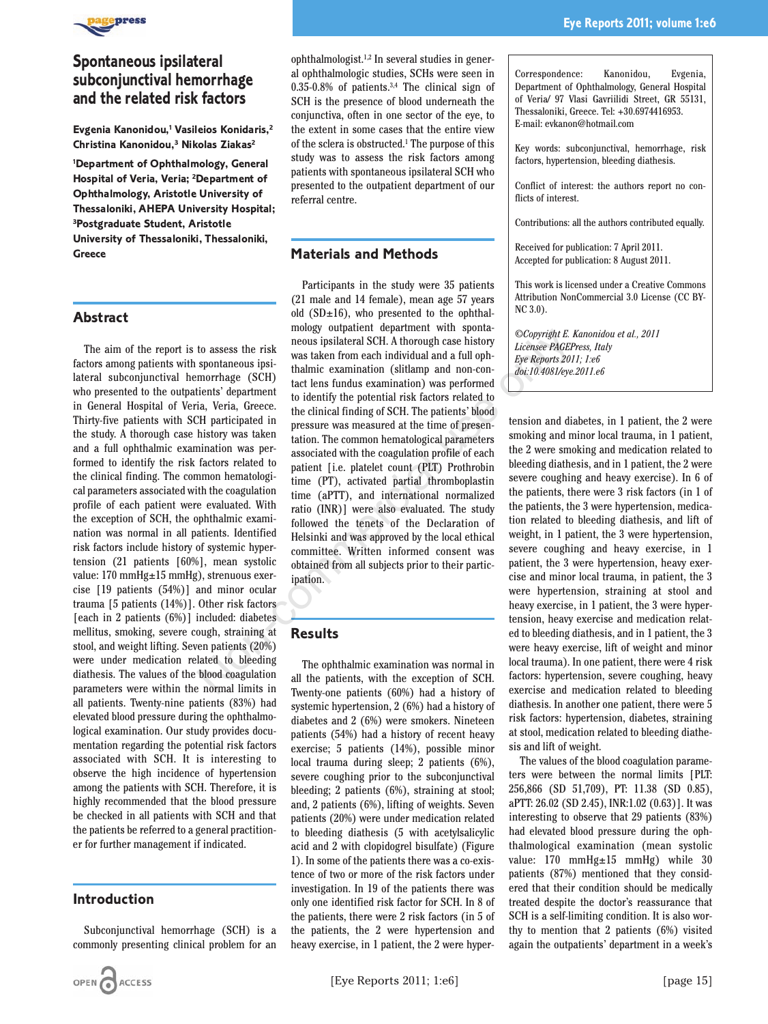

# **Spontaneous ipsilateral subconjunctival hemorrhage and the related risk factors**

**Evgenia Kanonidou,1 Vasileios Konidaris,2 Christina Kanonidou,3 Nikolas Ziakas2**

**1 Department of Ophthalmology, General Hospital of Veria, Veria; 2 Department of Ophthalmology, Aristotle University of Thessaloniki, AHEPA University Hospital; 3Postgraduate Student, Aristotle University of Thessaloniki, Thessaloniki, Greece**

#### **Abstract**

The aim of the report is to assess the risk factors among patients with spontaneous ipsilateral subconjunctival hemorrhage (SCH) who presented to the outpatients' department in General Hospital of Veria, Veria, Greece. Thirty-five patients with SCH participated in the study. A thorough case history was taken and a full ophthalmic examination was performed to identify the risk factors related to the clinical finding. The common hematological parameters associated with the coagulation profile of each patient were evaluated. With the exception of SCH, the ophthalmic examination was normal in all patients. Identified risk factors include history of systemic hypertension (21 patients [60%], mean systolic value: 170 mmHg±15 mmHg), strenuous exercise [19 patients (54%)] and minor ocular trauma [5 patients (14%)]. Other risk factors [each in 2 patients (6%)] included: diabetes mellitus, smoking, severe cough, straining at stool, and weight lifting. Seven patients (20%) were under medication related to bleeding diathesis. The values of the blood coagulation parameters were within the normal limits in all patients. Twenty-nine patients (83%) had elevated blood pressure during the ophthalmological examination. Our study provides documentation regarding the potential risk factors associated with SCH. It is interesting to observe the high incidence of hypertension among the patients with SCH. Therefore, it is highly recommended that the blood pressure be checked in all patients with SCH and that the patients be referred to a general practitioner for further management if indicated.

#### **Introduction**

Subconjunctival hemorrhage (SCH) is a commonly presenting clinical problem for an

ophthalmologist. $1,2$  In several studies in general ophthalmologic studies, SCHs were seen in 0.35-0.8% of patients.3,4 The clinical sign of SCH is the presence of blood underneath the conjunctiva, often in one sector of the eye, to the extent in some cases that the entire view of the sclera is obstructed.1 The purpose of this study was to assess the risk factors among patients with spontaneous ipsilateral SCH who presented to the outpatient department of our referral centre.

#### **Materials and Methods**

Participants in the study were 35 patients (21 male and 14 female), mean age 57 years old  $(SD\pm 16)$ , who presented to the ophthalmology outpatient department with spontaneous ipsilateral SCH. A thorough case history was taken from each individual and a full ophthalmic examination (slitlamp and non-contact lens fundus examination) was performed to identify the potential risk factors related to the clinical finding of SCH. The patients' blood pressure was measured at the time of presentation. The common hematological parameters associated with the coagulation profile of each patient [i.e. platelet count (PLT) Prothrobin time (PT), activated partial thromboplastin time (aPTT), and international normalized ratio (INR)] were also evaluated. The study followed the tenets of the Declaration of Helsinki and was approved by the local ethical committee. Written informed consent was obtained from all subjects prior to their participation. Fraction is the mountain that the exact only and the experimental SOH. A thorough case history<br>spontaneous ipsi are was taken from each individual and a full oph-<br>spontaneous ipsi thalimic examination (siltamp and non-com

## **Results**

The ophthalmic examination was normal in all the patients, with the exception of SCH. Twenty-one patients (60%) had a history of systemic hypertension, 2 (6%) had a history of diabetes and 2 (6%) were smokers. Nineteen patients (54%) had a history of recent heavy exercise; 5 patients (14%), possible minor local trauma during sleep; 2 patients (6%), severe coughing prior to the subconjunctival bleeding; 2 patients (6%), straining at stool; and, 2 patients (6%), lifting of weights. Seven patients (20%) were under medication related to bleeding diathesis (5 with acetylsalicylic acid and 2 with clopidogrel bisulfate) (Figure 1). In some of the patients there was a co-existence of two or more of the risk factors under investigation. In 19 of the patients there was only one identified risk factor for SCH. In 8 of the patients, there were 2 risk factors (in 5 of the patients, the 2 were hypertension and heavy exercise, in 1 patient, the 2 were hyperCorrespondence: Kanonidou, Evgenia, Department of Ophthalmology, General Hospital of Veria/ 97 Vlasi Gavriilidi Street, GR 55131, Thessaloniki, Greece. Tel: +30.6974416953. E-mail: evkanon@hotmail.com

Key words: subconjunctival, hemorrhage, risk factors, hypertension, bleeding diathesis.

Conflict of interest: the authors report no conflicts of interest.

Contributions: all the authors contributed equally.

Received for publication: 7 April 2011. Accepted for publication: 8 August 2011.

This work is licensed under a Creative Commons Attribution NonCommercial 3.0 License (CC BY-NC 3.0).

*©Copyright E. Kanonidou et al., 2011 Licensee PAGEPress, Italy Eye Reports 2011; 1:e6 doi:10.4081/eye.2011.e6*

tension and diabetes, in 1 patient, the 2 were smoking and minor local trauma, in 1 patient, the 2 were smoking and medication related to bleeding diathesis, and in 1 patient, the 2 were severe coughing and heavy exercise). In 6 of the patients, there were 3 risk factors (in 1 of the patients, the 3 were hypertension, medication related to bleeding diathesis, and lift of weight, in 1 patient, the 3 were hypertension, severe coughing and heavy exercise, in 1 patient, the 3 were hypertension, heavy exercise and minor local trauma, in patient, the 3 were hypertension, straining at stool and heavy exercise, in 1 patient, the 3 were hypertension, heavy exercise and medication related to bleeding diathesis, and in 1 patient, the 3 were heavy exercise, lift of weight and minor local trauma). In one patient, there were 4 risk factors: hypertension, severe coughing, heavy exercise and medication related to bleeding diathesis. In another one patient, there were 5 risk factors: hypertension, diabetes, straining at stool, medication related to bleeding diathesis and lift of weight.

The values of the blood coagulation parameters were between the normal limits [PLT: 256,866 (SD 51,709), PT: 11.38 (SD 0.85), aPTT: 26.02 (SD 2.45), INR:1.02 (0.63)]. It was interesting to observe that 29 patients (83%) had elevated blood pressure during the ophthalmological examination (mean systolic value: 170 mmHg $\pm$ 15 mmHg) while 30 patients (87%) mentioned that they considered that their condition should be medically treated despite the doctor's reassurance that SCH is a self-limiting condition. It is also worthy to mention that 2 patients (6%) visited again the outpatients' department in a week's